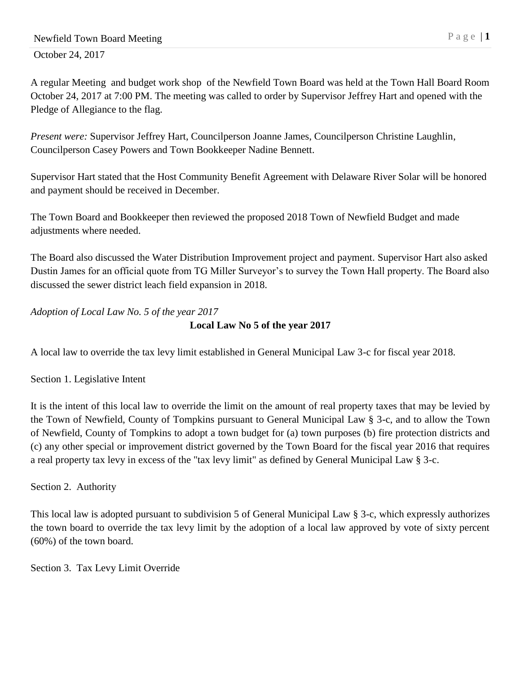A regular Meeting and budget work shop of the Newfield Town Board was held at the Town Hall Board Room October 24, 2017 at 7:00 PM. The meeting was called to order by Supervisor Jeffrey Hart and opened with the Pledge of Allegiance to the flag.

*Present were:* Supervisor Jeffrey Hart, Councilperson Joanne James, Councilperson Christine Laughlin, Councilperson Casey Powers and Town Bookkeeper Nadine Bennett.

Supervisor Hart stated that the Host Community Benefit Agreement with Delaware River Solar will be honored and payment should be received in December.

The Town Board and Bookkeeper then reviewed the proposed 2018 Town of Newfield Budget and made adjustments where needed.

The Board also discussed the Water Distribution Improvement project and payment. Supervisor Hart also asked Dustin James for an official quote from TG Miller Surveyor's to survey the Town Hall property. The Board also discussed the sewer district leach field expansion in 2018.

*Adoption of Local Law No. 5 of the year 2017*

## **Local Law No 5 of the year 2017**

A local law to override the tax levy limit established in General Municipal Law 3-c for fiscal year 2018.

Section 1. Legislative Intent

It is the intent of this local law to override the limit on the amount of real property taxes that may be levied by the Town of Newfield, County of Tompkins pursuant to General Municipal Law § 3-c, and to allow the Town of Newfield, County of Tompkins to adopt a town budget for (a) town purposes (b) fire protection districts and (c) any other special or improvement district governed by the Town Board for the fiscal year 2016 that requires a real property tax levy in excess of the "tax levy limit" as defined by General Municipal Law § 3-c.

Section 2. Authority

This local law is adopted pursuant to subdivision 5 of General Municipal Law § 3-c, which expressly authorizes the town board to override the tax levy limit by the adoption of a local law approved by vote of sixty percent (60%) of the town board.

Section 3. Tax Levy Limit Override